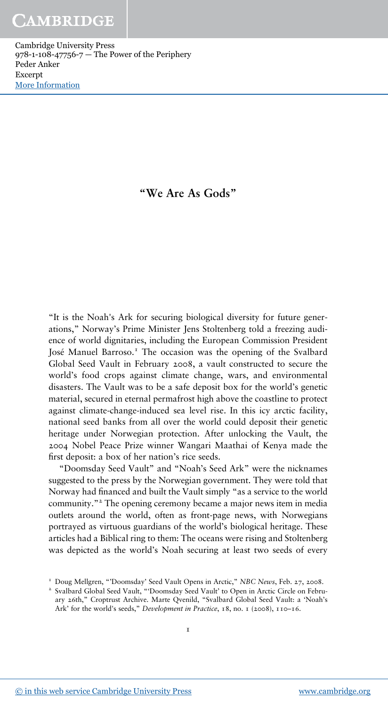### **"We Are As Gods"**

"It is the Noah's Ark for securing biological diversity for future generations," Norway's Prime Minister Jens Stoltenberg told a freezing audience of world dignitaries, including the European Commission President José Manuel Barroso.<sup>1</sup> The occasion was the opening of the Svalbard Global Seed Vault in February 2008, a vault constructed to secure the world's food crops against climate change, wars, and environmental disasters. The Vault was to be a safe deposit box for the world's genetic material, secured in eternal permafrost high above the coastline to protect against climate-change-induced sea level rise. In this icy arctic facility, national seed banks from all over the world could deposit their genetic heritage under Norwegian protection. After unlocking the Vault, the 2004 Nobel Peace Prize winner Wangari Maathai of Kenya made the first deposit: a box of her nation's rice seeds.

"Doomsday Seed Vault" and "Noah's Seed Ark" were the nicknames suggested to the press by the Norwegian government. They were told that Norway had financed and built the Vault simply "as a service to the world community." <sup>2</sup> The opening ceremony became a major news item in media outlets around the world, often as front-page news, with Norwegians portrayed as virtuous guardians of the world's biological heritage. These articles had a Biblical ring to them: The oceans were rising and Stoltenberg was depicted as the world's Noah securing at least two seeds of every

<sup>1</sup> Doug Mellgren, "'Doomsday' Seed Vault Opens in Arctic," *NBC News*, Feb. 27, 2008.

<sup>&</sup>lt;sup>2</sup> Svalbard Global Seed Vault, "'Doomsday Seed Vault' to Open in Arctic Circle on February 26th," Croptrust Archive. Marte Qvenild, "Svalbard Global Seed Vault: a 'Noah's Ark' for the world's seeds," *Development in Practice*, 18, no. 1 (2008), 110–16.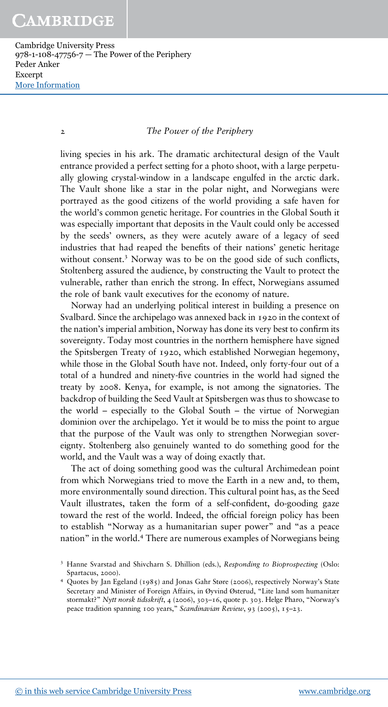#### 2 *The Power of the Periphery*

living species in his ark. The dramatic architectural design of the Vault entrance provided a perfect setting for a photo shoot, with a large perpetually glowing crystal-window in a landscape engulfed in the arctic dark. The Vault shone like a star in the polar night, and Norwegians were portrayed as the good citizens of the world providing a safe haven for the world's common genetic heritage. For countries in the Global South it was especially important that deposits in the Vault could only be accessed by the seeds' owners, as they were acutely aware of a legacy of seed industries that had reaped the benefits of their nations' genetic heritage without consent.<sup>3</sup> Norway was to be on the good side of such conflicts, Stoltenberg assured the audience, by constructing the Vault to protect the vulnerable, rather than enrich the strong. In effect, Norwegians assumed the role of bank vault executives for the economy of nature.

Norway had an underlying political interest in building a presence on Svalbard. Since the archipelago was annexed back in 1920 in the context of the nation's imperial ambition, Norway has done its very best to confirm its sovereignty. Today most countries in the northern hemisphere have signed the Spitsbergen Treaty of 1920, which established Norwegian hegemony, while those in the Global South have not. Indeed, only forty-four out of a total of a hundred and ninety-five countries in the world had signed the treaty by 2008. Kenya, for example, is not among the signatories. The backdrop of building the Seed Vault at Spitsbergen was thus to showcase to the world – especially to the Global South – the virtue of Norwegian dominion over the archipelago. Yet it would be to miss the point to argue that the purpose of the Vault was only to strengthen Norwegian sovereignty. Stoltenberg also genuinely wanted to do something good for the world, and the Vault was a way of doing exactly that.

The act of doing something good was the cultural Archimedean point from which Norwegians tried to move the Earth in a new and, to them, more environmentally sound direction. This cultural point has, as the Seed Vault illustrates, taken the form of a self-confident, do-gooding gaze toward the rest of the world. Indeed, the official foreign policy has been to establish "Norway as a humanitarian super power" and "as a peace nation" in the world.<sup>4</sup> There are numerous examples of Norwegians being

<sup>3</sup> Hanne Svarstad and Shivcharn S. Dhillion (eds.), *Responding to Bioprospecting* (Oslo: Spartacus, 2000).

<sup>4</sup> Quotes by Jan Egeland (1985) and Jonas Gahr Støre (2006), respectively Norway's State Secretary and Minister of Foreign Affairs, in Øyvind Østerud, "Lite land som humanitær stormakt?" *Nytt norsk tidsskrift*, 4 (2006), 303–16, quote p. 303. Helge Pharo, "Norway's peace tradition spanning 100 years," *Scandinavian Review*, 93 (2005), 15–23.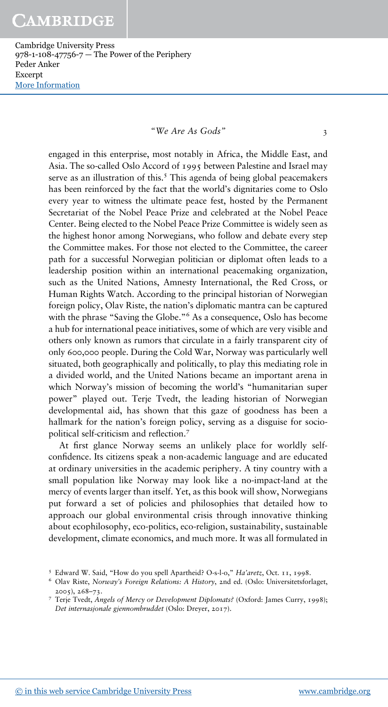# CAMBRIDGE

Cambridge University Press 978-1-108-47756-7 — The Power of the Periphery Peder Anker Excerpt [More Information](www.cambridge.org/9781108477567)

### *"We Are As Gods"* 3

engaged in this enterprise, most notably in Africa, the Middle East, and Asia. The so-called Oslo Accord of 1995 between Palestine and Israel may serve as an illustration of this.<sup>5</sup> This agenda of being global peacemakers has been reinforced by the fact that the world's dignitaries come to Oslo every year to witness the ultimate peace fest, hosted by the Permanent Secretariat of the Nobel Peace Prize and celebrated at the Nobel Peace Center. Being elected to the Nobel Peace Prize Committee is widely seen as the highest honor among Norwegians, who follow and debate every step the Committee makes. For those not elected to the Committee, the career path for a successful Norwegian politician or diplomat often leads to a leadership position within an international peacemaking organization, such as the United Nations, Amnesty International, the Red Cross, or Human Rights Watch. According to the principal historian of Norwegian foreign policy, Olav Riste, the nation's diplomatic mantra can be captured with the phrase "Saving the Globe." <sup>6</sup> As a consequence, Oslo has become a hub for international peace initiatives, some of which are very visible and others only known as rumors that circulate in a fairly transparent city of only 600,000 people. During the Cold War, Norway was particularly well situated, both geographically and politically, to play this mediating role in a divided world, and the United Nations became an important arena in which Norway's mission of becoming the world's "humanitarian super power" played out. Terje Tvedt, the leading historian of Norwegian developmental aid, has shown that this gaze of goodness has been a hallmark for the nation's foreign policy, serving as a disguise for sociopolitical self-criticism and reflection.<sup>7</sup>

At first glance Norway seems an unlikely place for worldly selfconfidence. Its citizens speak a non-academic language and are educated at ordinary universities in the academic periphery. A tiny country with a small population like Norway may look like a no-impact-land at the mercy of events larger than itself. Yet, as this book will show, Norwegians put forward a set of policies and philosophies that detailed how to approach our global environmental crisis through innovative thinking about ecophilosophy, eco-politics, eco-religion, sustainability, sustainable development, climate economics, and much more. It was all formulated in

<sup>5</sup> Edward W. Said, "How do you spell Apartheid? O-s-l-o," *Ha'aretz*, Oct. 11, 1998.

<sup>6</sup> Olav Riste, *Norway's Foreign Relations: A History*, 2nd ed. (Oslo: Universitetsforlaget, 2005), 268–73.

<sup>7</sup> Terje Tvedt, *Angels of Mercy or Development Diplomats?* (Oxford: James Curry, 1998); *Det internasjonale gjennombruddet* (Oslo: Dreyer, 2017).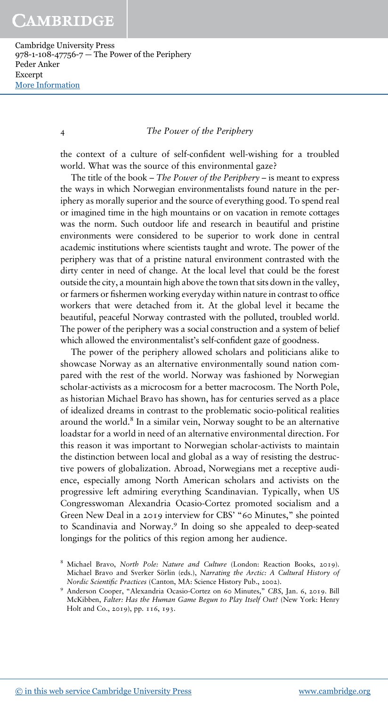4 *The Power of the Periphery*

the context of a culture of self-confident well-wishing for a troubled world. What was the source of this environmental gaze?

The title of the book – *The Power of the Periphery* – is meant to express the ways in which Norwegian environmentalists found nature in the periphery as morally superior and the source of everything good. To spend real or imagined time in the high mountains or on vacation in remote cottages was the norm. Such outdoor life and research in beautiful and pristine environments were considered to be superior to work done in central academic institutions where scientists taught and wrote. The power of the periphery was that of a pristine natural environment contrasted with the dirty center in need of change. At the local level that could be the forest outside the city, a mountain high above the town that sits down in the valley, or farmers or fishermen working everyday within nature in contrast to office workers that were detached from it. At the global level it became the beautiful, peaceful Norway contrasted with the polluted, troubled world. The power of the periphery was a social construction and a system of belief which allowed the environmentalist's self-confident gaze of goodness.

The power of the periphery allowed scholars and politicians alike to showcase Norway as an alternative environmentally sound nation compared with the rest of the world. Norway was fashioned by Norwegian scholar-activists as a microcosm for a better macrocosm. The North Pole, as historian Michael Bravo has shown, has for centuries served as a place of idealized dreams in contrast to the problematic socio-political realities around the world.<sup>8</sup> In a similar vein, Norway sought to be an alternative loadstar for a world in need of an alternative environmental direction. For this reason it was important to Norwegian scholar-activists to maintain the distinction between local and global as a way of resisting the destructive powers of globalization. Abroad, Norwegians met a receptive audience, especially among North American scholars and activists on the progressive left admiring everything Scandinavian. Typically, when US Congresswoman Alexandria Ocasio-Cortez promoted socialism and a Green New Deal in a 2019 interview for CBS' "60 Minutes," she pointed to Scandinavia and Norway.<sup>9</sup> In doing so she appealed to deep-seated longings for the politics of this region among her audience.

<sup>8</sup> Michael Bravo, *North Pole: Nature and Culture* (London: Reaction Books, 2019). Michael Bravo and Sverker Sörlin (eds.), *Narrating the Arctic: A Cultural History of Nordic Scientific Practices* (Canton, MA: Science History Pub., 2002).

<sup>9</sup> Anderson Cooper, "Alexandria Ocasio-Cortez on 60 Minutes," *CBS*, Jan. 6, 2019. Bill McKibben, *Falter: Has the Human Game Begun to Play Itself Out?* (New York: Henry Holt and Co., 2019), pp. 116, 193.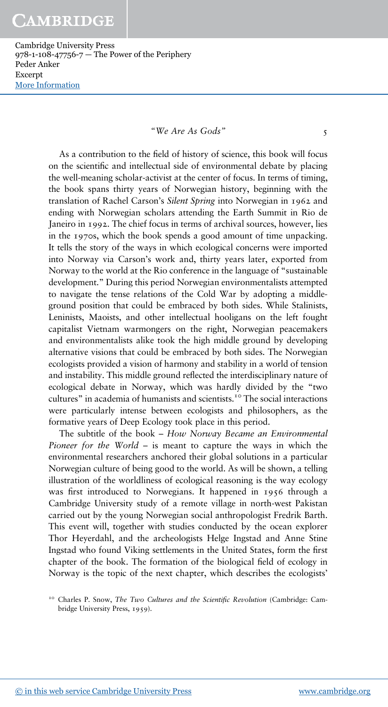# CAMBRIDGE

Cambridge University Press 978-1-108-47756-7 — The Power of the Periphery Peder Anker Excerpt [More Information](www.cambridge.org/9781108477567)

### *"We Are As Gods"* 5

As a contribution to the field of history of science, this book will focus on the scientific and intellectual side of environmental debate by placing the well-meaning scholar-activist at the center of focus. In terms of timing, the book spans thirty years of Norwegian history, beginning with the translation of Rachel Carson's *Silent Spring* into Norwegian in 1962 and ending with Norwegian scholars attending the Earth Summit in Rio de Janeiro in 1992. The chief focus in terms of archival sources, however, lies in the 1970s, which the book spends a good amount of time unpacking. It tells the story of the ways in which ecological concerns were imported into Norway via Carson's work and, thirty years later, exported from Norway to the world at the Rio conference in the language of "sustainable development." During this period Norwegian environmentalists attempted to navigate the tense relations of the Cold War by adopting a middleground position that could be embraced by both sides. While Stalinists, Leninists, Maoists, and other intellectual hooligans on the left fought capitalist Vietnam warmongers on the right, Norwegian peacemakers and environmentalists alike took the high middle ground by developing alternative visions that could be embraced by both sides. The Norwegian ecologists provided a vision of harmony and stability in a world of tension and instability. This middle ground reflected the interdisciplinary nature of ecological debate in Norway, which was hardly divided by the "two cultures" in academia of humanists and scientists.<sup>10</sup> The social interactions were particularly intense between ecologists and philosophers, as the formative years of Deep Ecology took place in this period.

The subtitle of the book – *How Norway Became an Environmental Pioneer for the World* – is meant to capture the ways in which the environmental researchers anchored their global solutions in a particular Norwegian culture of being good to the world. As will be shown, a telling illustration of the worldliness of ecological reasoning is the way ecology was first introduced to Norwegians. It happened in 1956 through a Cambridge University study of a remote village in north-west Pakistan carried out by the young Norwegian social anthropologist Fredrik Barth. This event will, together with studies conducted by the ocean explorer Thor Heyerdahl, and the archeologists Helge Ingstad and Anne Stine Ingstad who found Viking settlements in the United States, form the first chapter of the book. The formation of the biological field of ecology in Norway is the topic of the next chapter, which describes the ecologists'

<sup>10</sup> Charles P. Snow, *The Two Cultures and the Scientific Revolution* (Cambridge: Cambridge University Press, 1959).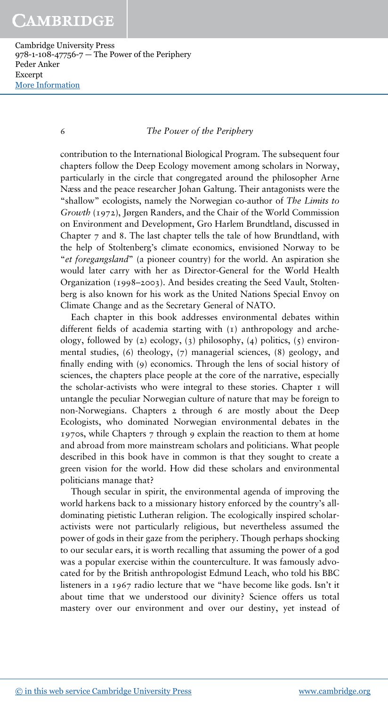#### 6 *The Power of the Periphery*

contribution to the International Biological Program. The subsequent four chapters follow the Deep Ecology movement among scholars in Norway, particularly in the circle that congregated around the philosopher Arne Næss and the peace researcher Johan Galtung. Their antagonists were the "shallow" ecologists, namely the Norwegian co-author of *The Limits to Growth* (1972), Jørgen Randers, and the Chair of the World Commission on Environment and Development, Gro Harlem Brundtland, discussed in Chapter 7 and 8. The last chapter tells the tale of how Brundtland, with the help of Stoltenberg's climate economics, envisioned Norway to be "*et foregangsland*" (a pioneer country) for the world. An aspiration she would later carry with her as Director-General for the World Health Organization (1998–2003). And besides creating the Seed Vault, Stoltenberg is also known for his work as the United Nations Special Envoy on Climate Change and as the Secretary General of NATO.

Each chapter in this book addresses environmental debates within different fields of academia starting with (1) anthropology and archeology, followed by  $(z)$  ecology,  $(z)$  philosophy,  $(z)$  politics,  $(z)$  environmental studies, (6) theology, (7) managerial sciences, (8) geology, and finally ending with (9) economics. Through the lens of social history of sciences, the chapters place people at the core of the narrative, especially the scholar-activists who were integral to these stories. Chapter 1 will untangle the peculiar Norwegian culture of nature that may be foreign to non-Norwegians. Chapters 2 through 6 are mostly about the Deep Ecologists, who dominated Norwegian environmental debates in the 1970s, while Chapters 7 through 9 explain the reaction to them at home and abroad from more mainstream scholars and politicians. What people described in this book have in common is that they sought to create a green vision for the world. How did these scholars and environmental politicians manage that?

Though secular in spirit, the environmental agenda of improving the world harkens back to a missionary history enforced by the country's alldominating pietistic Lutheran religion. The ecologically inspired scholaractivists were not particularly religious, but nevertheless assumed the power of gods in their gaze from the periphery. Though perhaps shocking to our secular ears, it is worth recalling that assuming the power of a god was a popular exercise within the counterculture. It was famously advocated for by the British anthropologist Edmund Leach, who told his BBC listeners in a 1967 radio lecture that we "have become like gods. Isn't it about time that we understood our divinity? Science offers us total mastery over our environment and over our destiny, yet instead of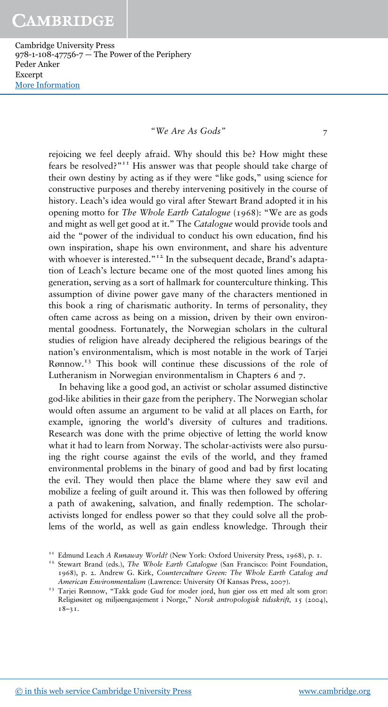# CAMBRIDGE

Cambridge University Press 978-1-108-47756-7 — The Power of the Periphery Peder Anker Excerpt [More Information](www.cambridge.org/9781108477567)

### *"We Are As Gods"* 7

rejoicing we feel deeply afraid. Why should this be? How might these fears be resolved?"<sup>11</sup> His answer was that people should take charge of their own destiny by acting as if they were "like gods," using science for constructive purposes and thereby intervening positively in the course of history. Leach's idea would go viral after Stewart Brand adopted it in his opening motto for *The Whole Earth Catalogue* (1968): "We are as gods and might as well get good at it." The *Catalogue* would provide tools and aid the "power of the individual to conduct his own education, find his own inspiration, shape his own environment, and share his adventure with whoever is interested."<sup>12</sup> In the subsequent decade, Brand's adaptation of Leach's lecture became one of the most quoted lines among his generation, serving as a sort of hallmark for counterculture thinking. This assumption of divine power gave many of the characters mentioned in this book a ring of charismatic authority. In terms of personality, they often came across as being on a mission, driven by their own environmental goodness. Fortunately, the Norwegian scholars in the cultural studies of religion have already deciphered the religious bearings of the nation's environmentalism, which is most notable in the work of Tarjei Rønnow.<sup>13</sup> This book will continue these discussions of the role of Lutheranism in Norwegian environmentalism in Chapters 6 and 7.

In behaving like a good god, an activist or scholar assumed distinctive god-like abilities in their gaze from the periphery. The Norwegian scholar would often assume an argument to be valid at all places on Earth, for example, ignoring the world's diversity of cultures and traditions. Research was done with the prime objective of letting the world know what it had to learn from Norway. The scholar-activists were also pursuing the right course against the evils of the world, and they framed environmental problems in the binary of good and bad by first locating the evil. They would then place the blame where they saw evil and mobilize a feeling of guilt around it. This was then followed by offering a path of awakening, salvation, and finally redemption. The scholaractivists longed for endless power so that they could solve all the problems of the world, as well as gain endless knowledge. Through their

<sup>11</sup> Edmund Leach *A Runaway World?* (New York: Oxford University Press, 1968), p. 1.

<sup>12</sup> Stewart Brand (eds.), *The Whole Earth Catalogue* (San Francisco: Point Foundation, 1968), p. 2. Andrew G. Kirk, *Counterculture Green: The Whole Earth Catalog and American Environmentalism* (Lawrence: University Of Kansas Press, 2007).

<sup>&</sup>lt;sup>13</sup> Tarjei Rønnow, "Takk gode Gud for moder jord, hun gjør oss ett med alt som gror: Religiøsitet og miljøengasjement i Norge," *Norsk antropologisk tidsskrift,* 15 (2004), 18–31.